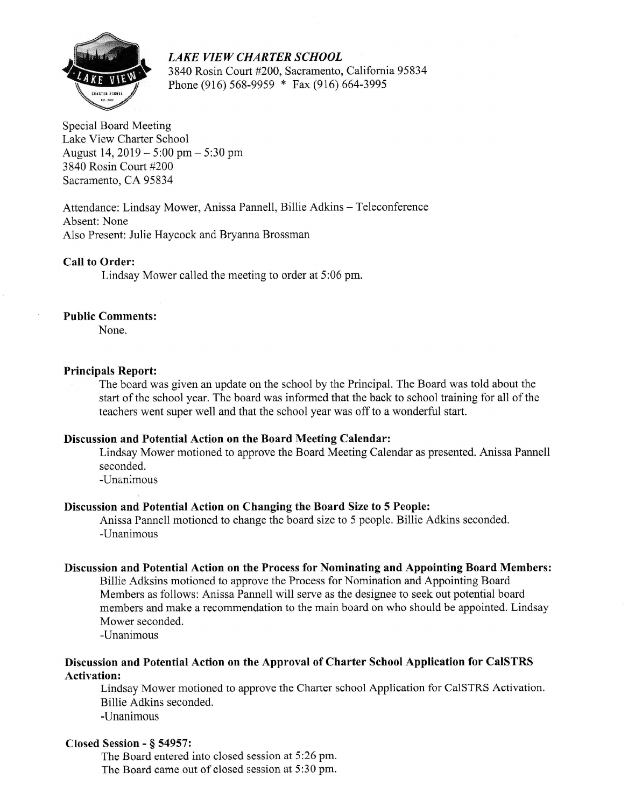

LAKE VIEW CHARTER SCHOOL 3840 Rosin Court #200, Sacramento, Califomia95834 Phone (916) 568-9959 \* Fax (916) 664-3995

Special Board Meeting Lake View Charter School August 14,2019 - 5:00 pm - 5:30 pm 3840 Rosin Court #200 Sacramento, CA 95834

Attendance: Lindsay Mower, Anissa Pannell, Billie Adkins - Teleconference Absent: None Also Present: Julie Haycock and Bryanna Brossman

## Call to Order:

Lindsay Mower called the meeting to order at 5:06 pm.

### Public Comments:

None.

#### Principals Report:

The board was given an update on the school by the Principal. The Board was told about the start of the school year. The board was informed that the back to school training for all of the teachers went super well and that the school year was off to a wonderful start.

#### Discussion and Potential Action on the Board Meeting Calendar:

Lindsay Mower motioned to approve the Board Meeting Calendar as presented. Anissa Pannell seconded.

-Unanimous

## Discussion and Potential Action on Changing the Board Size to 5 People:

Anissa Pannell motioned to change the board size to 5 people. Billie Adkins seconded. -Unanimous

#### Discussion and Potential Action on the Process for Nominating and Appointing Board Members:

Billie Adksins motioned to approve the Process for Nomination and Appointing Board Members as follows: Anissa Pannell will serve as the designee to seek out potential board members and make a recommendation to the main board on who should be appointed. Lindsay Mower seconded.

-Unanimous

## Discussion and Potential Action on the Approval of Charter School Application for CaISTRS Activation:

Lindsay Mower motioned to approve the Charter school Application for CaISTRS Activation. Billie Adkins seconded.

-Unanimous

#### Closed Session - \$ 54957:

The Board entered into closed session at 5:26 pm. The Board came out of closed session at 5:30 pm.